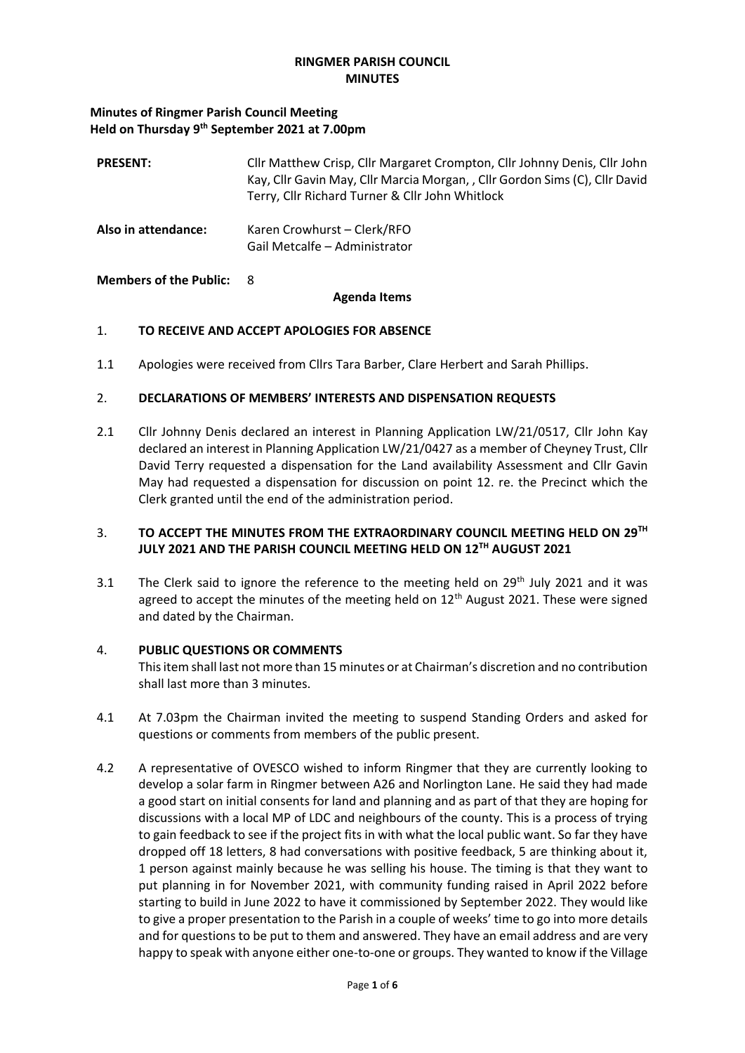## **RINGMER PARISH COUNCIL MINUTES**

#### **Minutes of Ringmer Parish Council Meeting Held on Thursday 9th September 2021 at 7.00pm**

| <b>PRESENT:</b>     | Cllr Matthew Crisp, Cllr Margaret Crompton, Cllr Johnny Denis, Cllr John<br>Kay, Cllr Gavin May, Cllr Marcia Morgan, , Cllr Gordon Sims (C), Cllr David<br>Terry, Cllr Richard Turner & Cllr John Whitlock |
|---------------------|------------------------------------------------------------------------------------------------------------------------------------------------------------------------------------------------------------|
| Also in attendance: | Karen Crowhurst – Clerk/RFO<br>Gail Metcalfe - Administrator                                                                                                                                               |

#### **Members of the Public:** 8

#### **Agenda Items**

## 1. **TO RECEIVE AND ACCEPT APOLOGIES FOR ABSENCE**

1.1 Apologies were received from Cllrs Tara Barber, Clare Herbert and Sarah Phillips.

## 2. **DECLARATIONS OF MEMBERS' INTERESTS AND DISPENSATION REQUESTS**

2.1 Cllr Johnny Denis declared an interest in Planning Application LW/21/0517, Cllr John Kay declared an interest in Planning Application LW/21/0427 as a member of Cheyney Trust, Cllr David Terry requested a dispensation for the Land availability Assessment and Cllr Gavin May had requested a dispensation for discussion on point 12. re. the Precinct which the Clerk granted until the end of the administration period.

## 3. **TO ACCEPT THE MINUTES FROM THE EXTRAORDINARY COUNCIL MEETING HELD ON 29TH JULY 2021 AND THE PARISH COUNCIL MEETING HELD ON 12TH AUGUST 2021**

3.1 The Clerk said to ignore the reference to the meeting held on  $29<sup>th</sup>$  July 2021 and it was agreed to accept the minutes of the meeting held on  $12<sup>th</sup>$  August 2021. These were signed and dated by the Chairman.

#### 4. **PUBLIC QUESTIONS OR COMMENTS**

This item shall last not more than 15 minutes or at Chairman's discretion and no contribution shall last more than 3 minutes.

- 4.1 At 7.03pm the Chairman invited the meeting to suspend Standing Orders and asked for questions or comments from members of the public present.
- 4.2 A representative of OVESCO wished to inform Ringmer that they are currently looking to develop a solar farm in Ringmer between A26 and Norlington Lane. He said they had made a good start on initial consents for land and planning and as part of that they are hoping for discussions with a local MP of LDC and neighbours of the county. This is a process of trying to gain feedback to see if the project fits in with what the local public want. So far they have dropped off 18 letters, 8 had conversations with positive feedback, 5 are thinking about it, 1 person against mainly because he was selling his house. The timing is that they want to put planning in for November 2021, with community funding raised in April 2022 before starting to build in June 2022 to have it commissioned by September 2022. They would like to give a proper presentation to the Parish in a couple of weeks' time to go into more details and for questions to be put to them and answered. They have an email address and are very happy to speak with anyone either one-to-one or groups. They wanted to know if the Village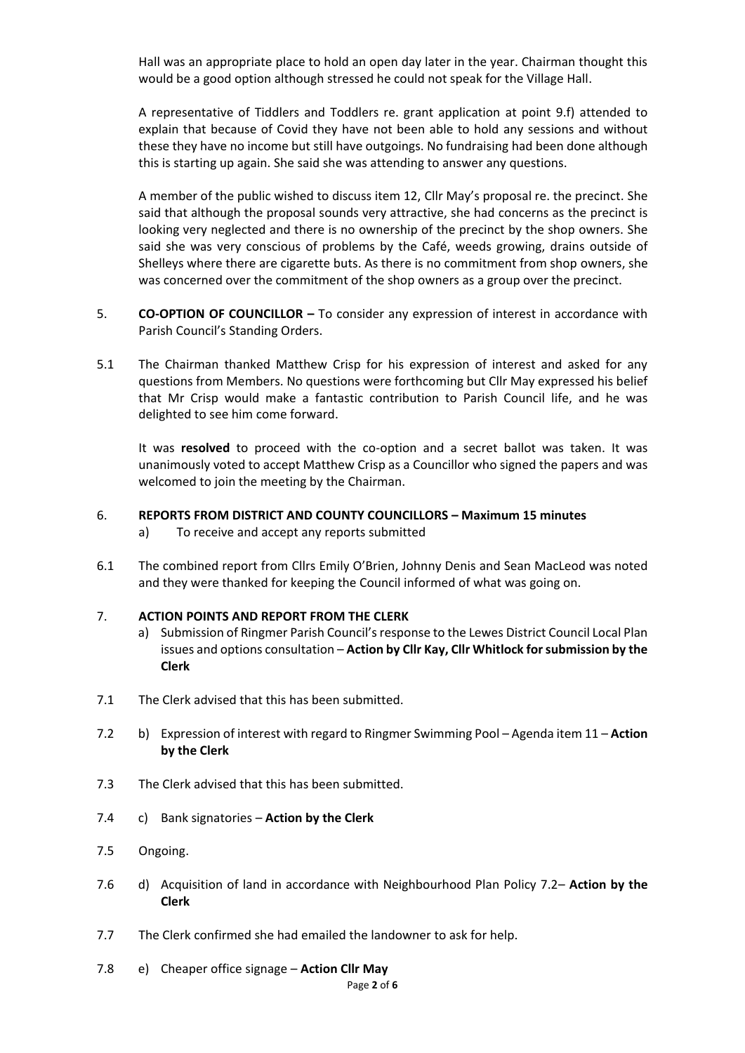Hall was an appropriate place to hold an open day later in the year. Chairman thought this would be a good option although stressed he could not speak for the Village Hall.

A representative of Tiddlers and Toddlers re. grant application at point 9.f) attended to explain that because of Covid they have not been able to hold any sessions and without these they have no income but still have outgoings. No fundraising had been done although this is starting up again. She said she was attending to answer any questions.

A member of the public wished to discuss item 12, Cllr May's proposal re. the precinct. She said that although the proposal sounds very attractive, she had concerns as the precinct is looking very neglected and there is no ownership of the precinct by the shop owners. She said she was very conscious of problems by the Café, weeds growing, drains outside of Shelleys where there are cigarette buts. As there is no commitment from shop owners, she was concerned over the commitment of the shop owners as a group over the precinct.

- 5. **CO-OPTION OF COUNCILLOR –** To consider any expression of interest in accordance with Parish Council's Standing Orders.
- 5.1 The Chairman thanked Matthew Crisp for his expression of interest and asked for any questions from Members. No questions were forthcoming but Cllr May expressed his belief that Mr Crisp would make a fantastic contribution to Parish Council life, and he was delighted to see him come forward.

It was **resolved** to proceed with the co-option and a secret ballot was taken. It was unanimously voted to accept Matthew Crisp as a Councillor who signed the papers and was welcomed to join the meeting by the Chairman.

## 6. **REPORTS FROM DISTRICT AND COUNTY COUNCILLORS – Maximum 15 minutes**

- a) To receive and accept any reports submitted
- 6.1 The combined report from Cllrs Emily O'Brien, Johnny Denis and Sean MacLeod was noted and they were thanked for keeping the Council informed of what was going on.

#### 7. **ACTION POINTS AND REPORT FROM THE CLERK**

- a) Submission of Ringmer Parish Council's response to the Lewes District Council Local Plan issues and options consultation – **Action by Cllr Kay, Cllr Whitlock for submission by the Clerk**
- 7.1 The Clerk advised that this has been submitted.
- 7.2 b) Expression of interest with regard to Ringmer Swimming Pool Agenda item 11 **Action by the Clerk**
- 7.3 The Clerk advised that this has been submitted.
- 7.4 c) Bank signatories **Action by the Clerk**
- 7.5 Ongoing.
- 7.6 d) Acquisition of land in accordance with Neighbourhood Plan Policy 7.2– **Action by the Clerk**
- 7.7 The Clerk confirmed she had emailed the landowner to ask for help.
- 7.8 e) Cheaper office signage **Action Cllr May**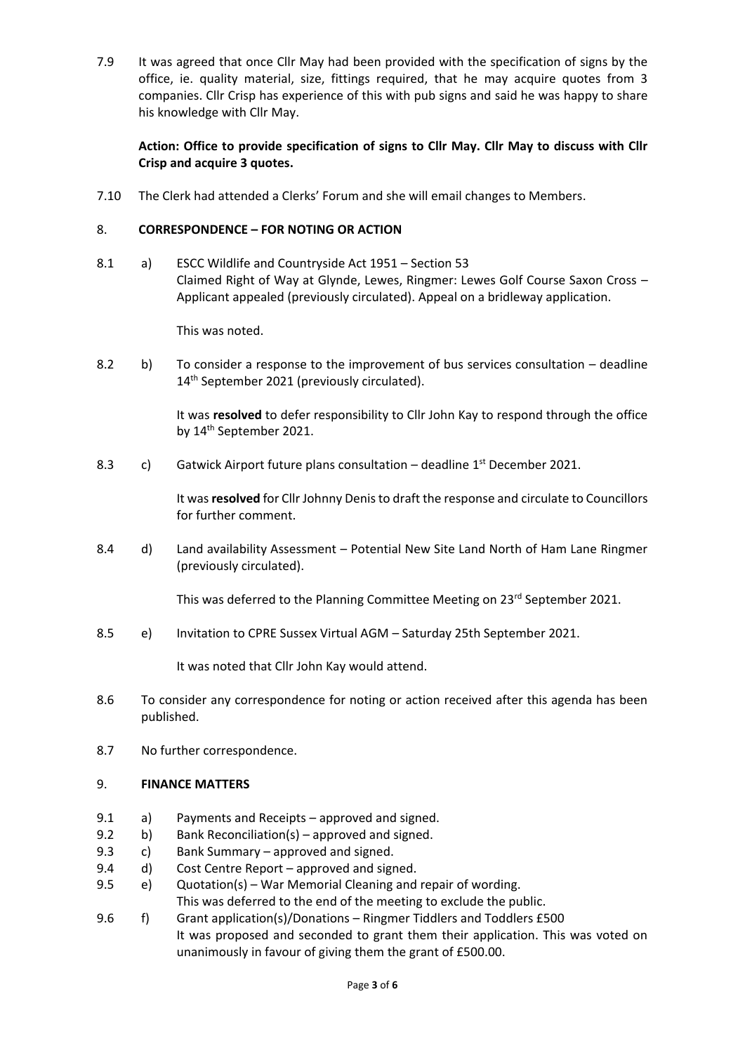7.9 It was agreed that once Cllr May had been provided with the specification of signs by the office, ie. quality material, size, fittings required, that he may acquire quotes from 3 companies. Cllr Crisp has experience of this with pub signs and said he was happy to share his knowledge with Cllr May.

## **Action: Office to provide specification of signs to Cllr May. Cllr May to discuss with Cllr Crisp and acquire 3 quotes.**

7.10 The Clerk had attended a Clerks' Forum and she will email changes to Members.

#### 8. **CORRESPONDENCE – FOR NOTING OR ACTION**

8.1 a) ESCC Wildlife and Countryside Act 1951 – Section 53 Claimed Right of Way at Glynde, Lewes, Ringmer: Lewes Golf Course Saxon Cross – Applicant appealed (previously circulated). Appeal on a bridleway application.

This was noted.

8.2 b) To consider a response to the improvement of bus services consultation – deadline 14<sup>th</sup> September 2021 (previously circulated).

> It was **resolved** to defer responsibility to Cllr John Kay to respond through the office by 14<sup>th</sup> September 2021.

8.3 c) Gatwick Airport future plans consultation – deadline 1<sup>st</sup> December 2021.

It was **resolved** for Cllr Johnny Denis to draft the response and circulate to Councillors for further comment.

8.4 d) Land availability Assessment – Potential New Site Land North of Ham Lane Ringmer (previously circulated).

This was deferred to the Planning Committee Meeting on 23<sup>rd</sup> September 2021.

8.5 e) Invitation to CPRE Sussex Virtual AGM – Saturday 25th September 2021.

It was noted that Cllr John Kay would attend.

- 8.6 To consider any correspondence for noting or action received after this agenda has been published.
- 8.7 No further correspondence.

#### 9. **FINANCE MATTERS**

- 9.1 a) Payments and Receipts approved and signed.
- 9.2 b) Bank Reconciliation(s) approved and signed.
- 9.3 c) Bank Summary approved and signed.
- 9.4 d) Cost Centre Report approved and signed.
- 9.5 e) Quotation(s) War Memorial Cleaning and repair of wording.

This was deferred to the end of the meeting to exclude the public.

9.6 f) Grant application(s)/Donations – Ringmer Tiddlers and Toddlers £500 It was proposed and seconded to grant them their application. This was voted on unanimously in favour of giving them the grant of £500.00.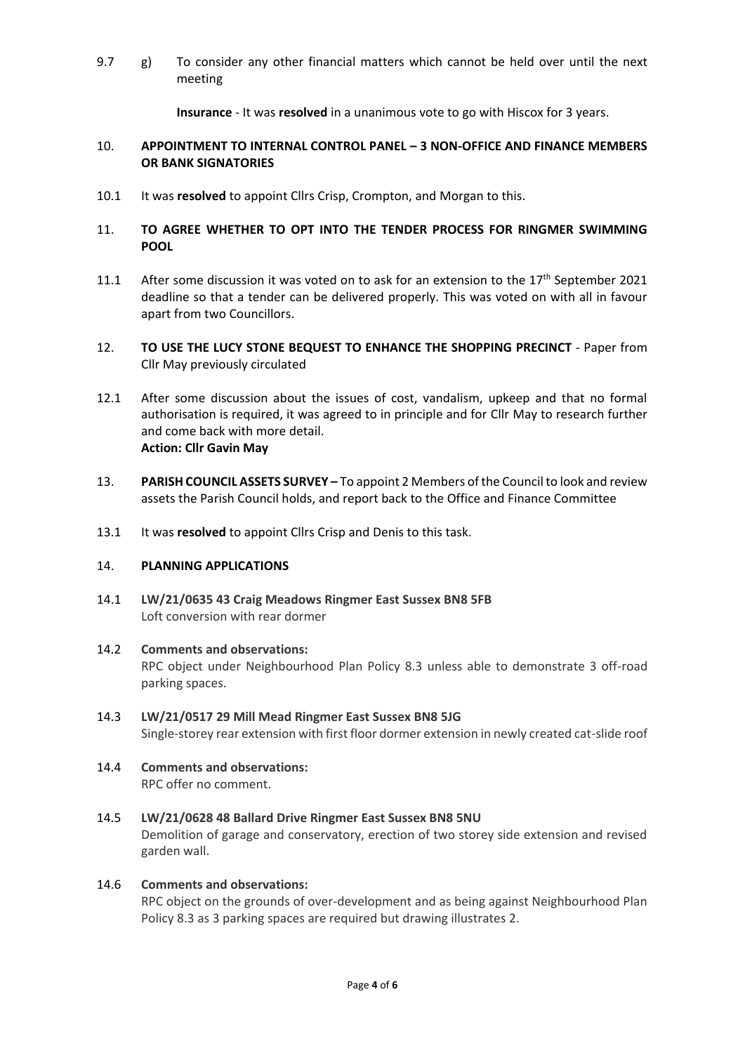9.7 g) To consider any other financial matters which cannot be held over until the next meeting

**Insurance** - It was **resolved** in a unanimous vote to go with Hiscox for 3 years.

## 10. **APPOINTMENT TO INTERNAL CONTROL PANEL – 3 NON-OFFICE AND FINANCE MEMBERS OR BANK SIGNATORIES**

10.1 It was **resolved** to appoint Cllrs Crisp, Crompton, and Morgan to this.

## 11. **TO AGREE WHETHER TO OPT INTO THE TENDER PROCESS FOR RINGMER SWIMMING POOL**

- 11.1 After some discussion it was voted on to ask for an extension to the  $17<sup>th</sup>$  September 2021 deadline so that a tender can be delivered properly. This was voted on with all in favour apart from two Councillors.
- 12. **TO USE THE LUCY STONE BEQUEST TO ENHANCE THE SHOPPING PRECINCT** Paper from Cllr May previously circulated
- 12.1 After some discussion about the issues of cost, vandalism, upkeep and that no formal authorisation is required, it was agreed to in principle and for Cllr May to research further and come back with more detail. **Action: Cllr Gavin May**
- 13. **PARISH COUNCIL ASSETS SURVEY –** To appoint 2 Members of the Council to look and review assets the Parish Council holds, and report back to the Office and Finance Committee
- 13.1 It was **resolved** to appoint Cllrs Crisp and Denis to this task.

#### 14. **PLANNING APPLICATIONS**

14.1 **LW/21/0635 43 Craig Meadows Ringmer East Sussex BN8 5FB** Loft conversion with rear dormer

#### 14.2 **Comments and observations:**

RPC object under Neighbourhood Plan Policy 8.3 unless able to demonstrate 3 off-road parking spaces.

# 14.3 **LW/21/0517 29 Mill Mead Ringmer East Sussex BN8 5JG** Single-storey rear extension with first floor dormer extension in newly created cat-slide roof

14.4 **Comments and observations:** RPC offer no comment.

## 14.5 **LW/21/0628 48 Ballard Drive Ringmer East Sussex BN8 5NU**

Demolition of garage and conservatory, erection of two storey side extension and revised garden wall.

## 14.6 **Comments and observations:**

RPC object on the grounds of over-development and as being against Neighbourhood Plan Policy 8.3 as 3 parking spaces are required but drawing illustrates 2.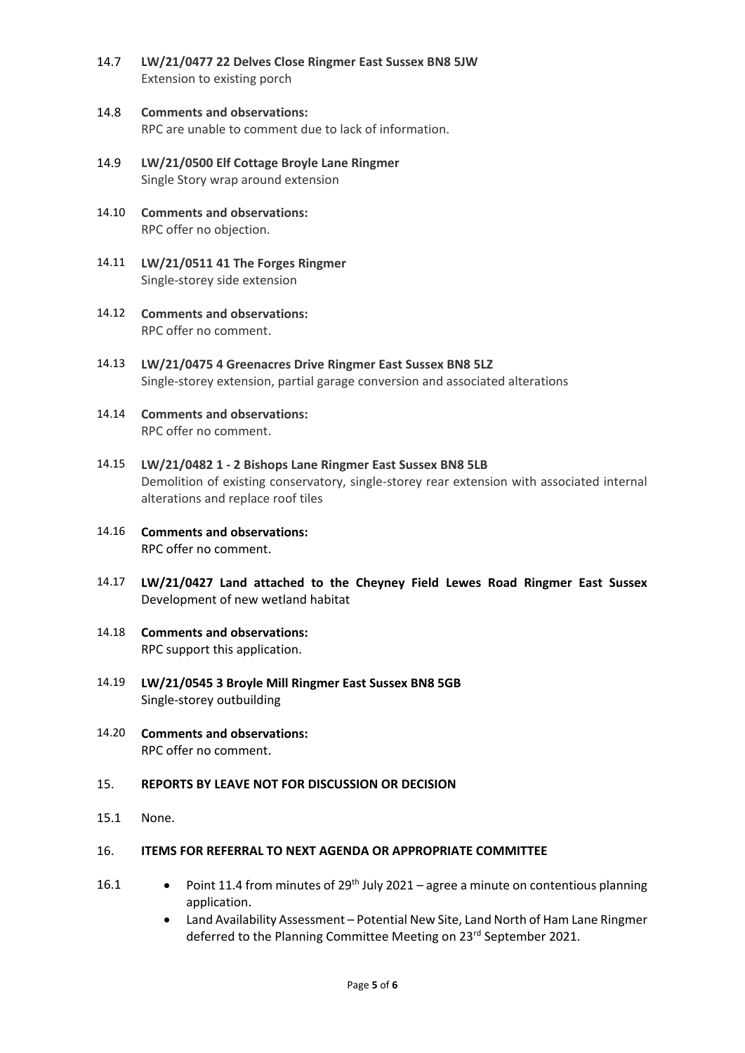- 14.7 **LW/21/0477 22 Delves Close Ringmer East Sussex BN8 5JW** Extension to existing porch
- 14.8 **Comments and observations:** RPC are unable to comment due to lack of information.
- 14.9 **LW/21/0500 Elf Cottage Broyle Lane Ringmer** Single Story wrap around extension
- 14.10 **Comments and observations:** RPC offer no objection.
- 14.11 **LW/21/0511 41 The Forges Ringmer** Single-storey side extension
- 14.12 **Comments and observations:** RPC offer no comment.
- 14.13 **LW/21/0475 4 Greenacres Drive Ringmer East Sussex BN8 5LZ** Single-storey extension, partial garage conversion and associated alterations
- 14.14 **Comments and observations:** RPC offer no comment.
- 14.15 **LW/21/0482 1 - 2 Bishops Lane Ringmer East Sussex BN8 5LB** Demolition of existing conservatory, single-storey rear extension with associated internal alterations and replace roof tiles
- 14.16 **Comments and observations:** RPC offer no comment.
- 14.17 **LW/21/0427 Land attached to the Cheyney Field Lewes Road Ringmer East Sussex** Development of new wetland habitat
- 14.18 **Comments and observations:** RPC support this application.
- 14.19 **LW/21/0545 3 Broyle Mill Ringmer East Sussex BN8 5GB** Single-storey outbuilding
- 14.20 **Comments and observations:** RPC offer no comment.

#### 15. **REPORTS BY LEAVE NOT FOR DISCUSSION OR DECISION**

15.1 None.

#### 16. **ITEMS FOR REFERRAL TO NEXT AGENDA OR APPROPRIATE COMMITTEE**

- 16.1 Point 11.4 from minutes of 29<sup>th</sup> July 2021 agree a minute on contentious planning application.
	- Land Availability Assessment Potential New Site, Land North of Ham Lane Ringmer deferred to the Planning Committee Meeting on 23<sup>rd</sup> September 2021.